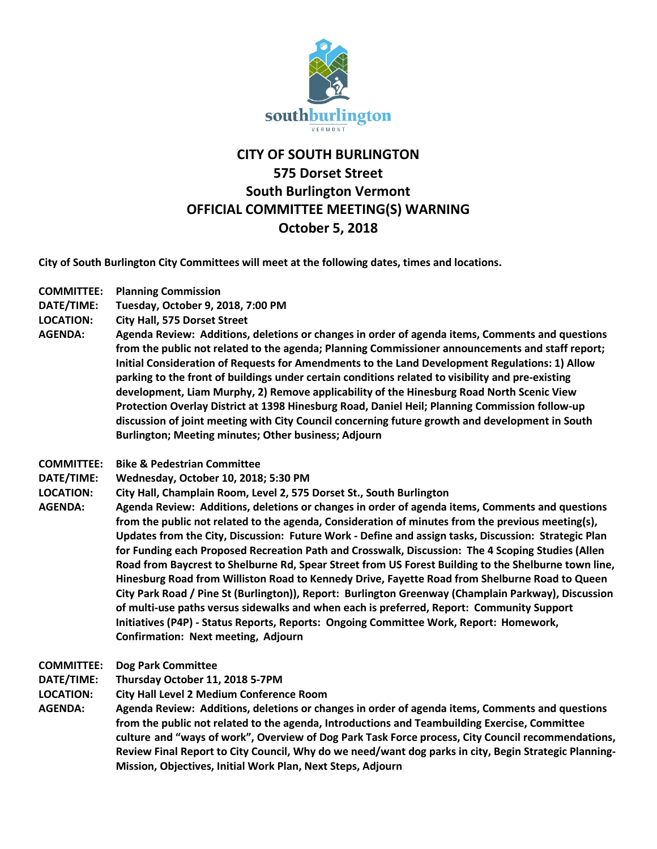

## **CITY OF SOUTH BURLINGTON 575 Dorset Street South Burlington Vermont OFFICIAL COMMITTEE MEETING(S) WARNING October 5, 2018**

**City of South Burlington City Committees will meet at the following dates, times and locations.** 

- **COMMITTEE: Planning Commission**
- **DATE/TIME: Tuesday, October 9, 2018, 7:00 PM**
- **LOCATION: City Hall, 575 Dorset Street**
- **AGENDA: Agenda Review: Additions, deletions or changes in order of agenda items, Comments and questions from the public not related to the agenda; Planning Commissioner announcements and staff report; Initial Consideration of Requests for Amendments to the Land Development Regulations: 1) Allow parking to the front of buildings under certain conditions related to visibility and pre-existing development, Liam Murphy, 2) Remove applicability of the Hinesburg Road North Scenic View Protection Overlay District at 1398 Hinesburg Road, Daniel Heil; Planning Commission follow-up discussion of joint meeting with City Council concerning future growth and development in South Burlington; Meeting minutes; Other business; Adjourn**
- **COMMITTEE: Bike & Pedestrian Committee**
- **DATE/TIME: Wednesday, October 10, 2018; 5:30 PM**
- **LOCATION: City Hall, Champlain Room, Level 2, 575 Dorset St., South Burlington**
- **AGENDA: Agenda Review: Additions, deletions or changes in order of agenda items, Comments and questions from the public not related to the agenda, Consideration of minutes from the previous meeting(s), Updates from the City, Discussion: Future Work - Define and assign tasks, Discussion: Strategic Plan for Funding each Proposed Recreation Path and Crosswalk, Discussion: The 4 Scoping Studies (Allen Road from Baycrest to Shelburne Rd, Spear Street from US Forest Building to the Shelburne town line, Hinesburg Road from Williston Road to Kennedy Drive, Fayette Road from Shelburne Road to Queen City Park Road / Pine St (Burlington)), Report: Burlington Greenway (Champlain Parkway), Discussion of multi-use paths versus sidewalks and when each is preferred, Report: Community Support Initiatives (P4P) - Status Reports, Reports: Ongoing Committee Work, Report: Homework, Confirmation: Next meeting, Adjourn**
- **COMMITTEE: Dog Park Committee**
- **DATE/TIME: Thursday October 11, 2018 5-7PM**
- **LOCATION: City Hall Level 2 Medium Conference Room**
- **AGENDA: Agenda Review: Additions, deletions or changes in order of agenda items, Comments and questions from the public not related to the agenda, Introductions and Teambuilding Exercise, Committee culture and "ways of work", Overview of Dog Park Task Force process, City Council recommendations, Review Final Report to City Council, Why do we need/want dog parks in city, Begin Strategic Planning-Mission, Objectives, Initial Work Plan, Next Steps, Adjourn**